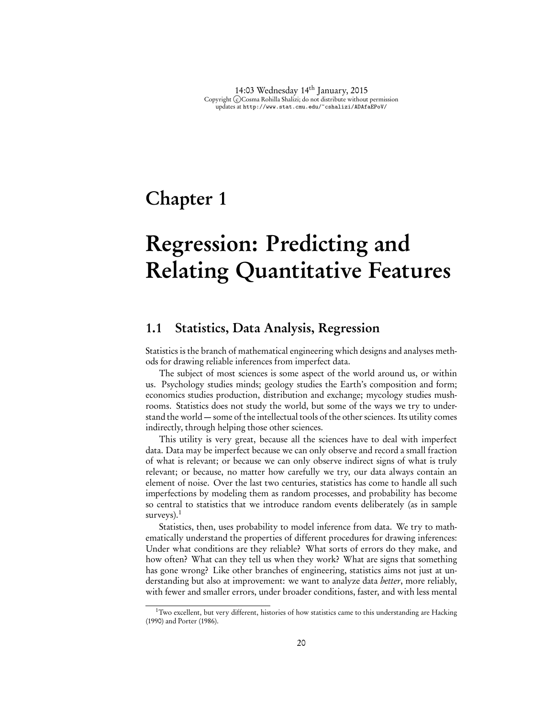## Chapter 1

# Regression: Predicting and Relating Quantitative Features

## 1.1 Statistics, Data Analysis, Regression

Statistics is the branch of mathematical engineering which designs and analyses methods for drawing reliable inferences from imperfect data.

The subject of most sciences is some aspect of the world around us, or within us. Psychology studies minds; geology studies the Earth's composition and form; economics studies production, distribution and exchange; mycology studies mushrooms. Statistics does not study the world, but some of the ways we try to understand the world — some of the intellectual tools of the other sciences. Its utility comes indirectly, through helping those other sciences.

This utility is very great, because all the sciences have to deal with imperfect data. Data may be imperfect because we can only observe and record a small fraction of what is relevant; or because we can only observe indirect signs of what is truly relevant; or because, no matter how carefully we try, our data always contain an element of noise. Over the last two centuries, statistics has come to handle all such imperfections by modeling them as random processes, and probability has become so central to statistics that we introduce random events deliberately (as in sample surveys). $<sup>1</sup>$ </sup>

Statistics, then, uses probability to model inference from data. We try to mathematically understand the properties of different procedures for drawing inferences: Under what conditions are they reliable? What sorts of errors do they make, and how often? What can they tell us when they work? What are signs that something has gone wrong? Like other branches of engineering, statistics aims not just at understanding but also at improvement: we want to analyze data *better*, more reliably, with fewer and smaller errors, under broader conditions, faster, and with less mental

<sup>&</sup>lt;sup>1</sup>Two excellent, but very different, histories of how statistics came to this understanding are Hacking (1990) and Porter (1986).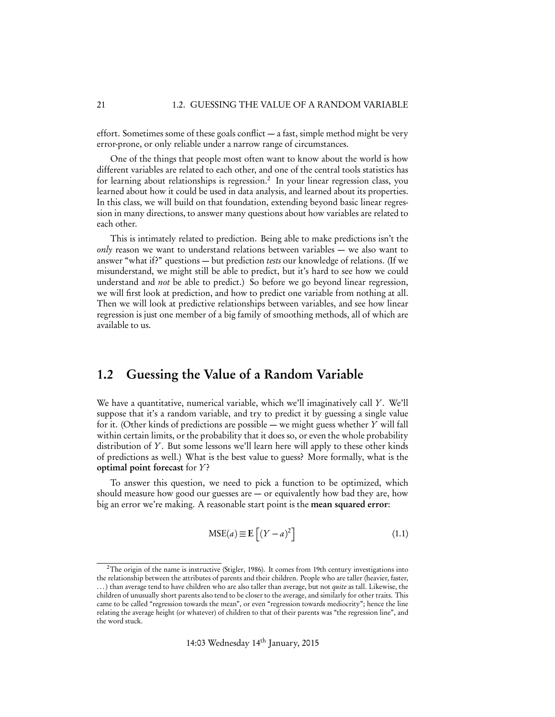effort. Sometimes some of these goals conflict — a fast, simple method might be very error-prone, or only reliable under a narrow range of circumstances.

One of the things that people most often want to know about the world is how different variables are related to each other, and one of the central tools statistics has for learning about relationships is regression.<sup>2</sup> In your linear regression class, you learned about how it could be used in data analysis, and learned about its properties. In this class, we will build on that foundation, extending beyond basic linear regression in many directions, to answer many questions about how variables are related to each other.

This is intimately related to prediction. Being able to make predictions isn't the *only* reason we want to understand relations between variables — we also want to answer "what if?" questions — but prediction *tests* our knowledge of relations. (If we misunderstand, we might still be able to predict, but it's hard to see how we could understand and *not* be able to predict.) So before we go beyond linear regression, we will first look at prediction, and how to predict one variable from nothing at all. Then we will look at predictive relationships between variables, and see how linear regression is just one member of a big family of smoothing methods, all of which are available to us.

## 1.2 Guessing the Value of a Random Variable

We have a quantitative, numerical variable, which we'll imaginatively call *Y*. We'll suppose that it's a random variable, and try to predict it by guessing a single value for it. (Other kinds of predictions are possible — we might guess whether *Y* will fall within certain limits, or the probability that it does so, or even the whole probability distribution of *Y*. But some lessons we'll learn here will apply to these other kinds of predictions as well.) What is the best value to guess? More formally, what is the optimal point forecast for *Y*?

To answer this question, we need to pick a function to be optimized, which should measure how good our guesses are — or equivalently how bad they are, how big an error we're making. A reasonable start point is the mean squared error:

$$
MSE(a) \equiv E\left[ (Y - a)^2 \right] \tag{1.1}
$$

<sup>&</sup>lt;sup>2</sup>The origin of the name is instructive (Stigler, 1986). It comes from 19th century investigations into the relationship between the attributes of parents and their children. People who are taller (heavier, faster, . . .) than average tend to have children who are also taller than average, but not *quite* as tall. Likewise, the children of unusually short parents also tend to be closer to the average, and similarly for other traits. This came to be called "regression towards the mean", or even "regression towards mediocrity"; hence the line relating the average height (or whatever) of children to that of their parents was "the regression line", and the word stuck.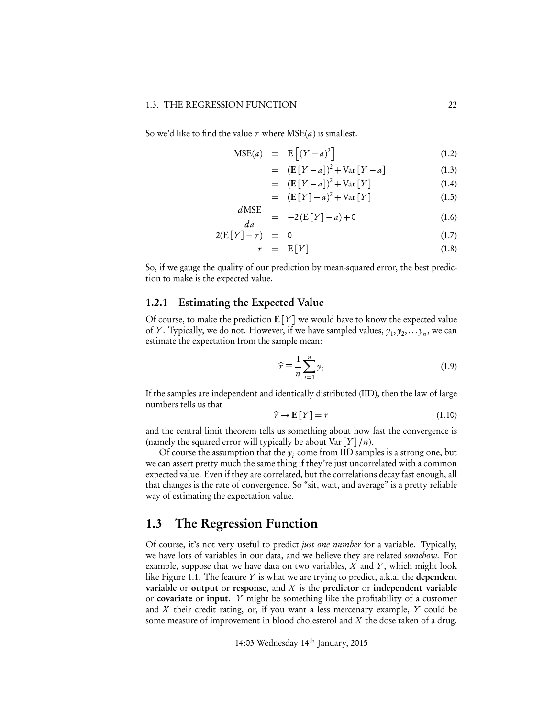So we'd like to find the value *r* where MSE(*a*) is smallest.

*d*MCE

$$
MSE(a) = E[(Y - a)^{2}] \qquad (1.2)
$$

$$
= (E[Y - a])^{2} + Var[Y - a]
$$
 (1.3)

$$
= \left( \mathbb{E}\left[ Y - a \right] \right)^2 + \text{Var}\left[ Y \right] \tag{1.4}
$$

$$
= \left( \mathbf{E}\left[Y\right] - a\right)^2 + \text{Var}\left[Y\right] \tag{1.5}
$$

$$
\frac{a_{\text{MSE}}}{da} = -2(E[Y] - a) + 0 \tag{1.6}
$$

$$
2(E[Y] - r) = 0 \tag{1.7}
$$

$$
r = \mathbb{E}[Y] \tag{1.8}
$$

So, if we gauge the quality of our prediction by mean-squared error, the best prediction to make is the expected value.

#### 1.2.1 Estimating the Expected Value

Of course, to make the prediction  $E[Y]$  we would have to know the expected value of *Y*. Typically, we do not. However, if we have sampled values,  $y_1, y_2, \ldots y_n$ , we can estimate the expectation from the sample mean:

$$
\widehat{r} \equiv \frac{1}{n} \sum_{i=1}^{n} y_i \tag{1.9}
$$

If the samples are independent and identically distributed (IID), then the law of large numbers tells us that

$$
\hat{r} \to \mathbf{E}[Y] = r \tag{1.10}
$$

and the central limit theorem tells us something about how fast the convergence is (namely the squared error will typically be about Var [*Y*] */n*).

Of course the assumption that the  $y_i$  come from IID samples is a strong one, but we can assert pretty much the same thing if they're just uncorrelated with a common expected value. Even if they are correlated, but the correlations decay fast enough, all that changes is the rate of convergence. So "sit, wait, and average" is a pretty reliable way of estimating the expectation value.

## 1.3 The Regression Function

Of course, it's not very useful to predict *just one number* for a variable. Typically, we have lots of variables in our data, and we believe they are related *somehow*. For example, suppose that we have data on two variables, *X* and *Y*, which might look like Figure 1.1. The feature *Y* is what we are trying to predict, a.k.a. the dependent variable or output or response, and *X* is the predictor or independent variable or covariate or input. *Y* might be something like the profitability of a customer and *X* their credit rating, or, if you want a less mercenary example, *Y* could be some measure of improvement in blood cholesterol and *X* the dose taken of a drug.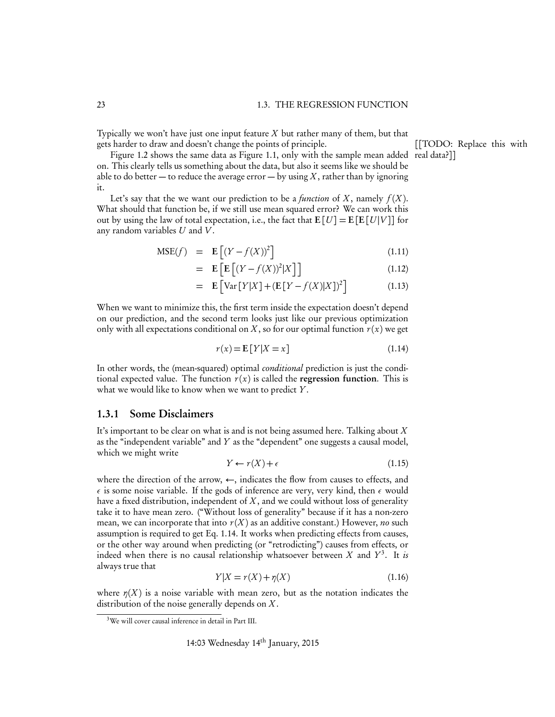Typically we won't have just one input feature *X* but rather many of them, but that gets harder to draw and doesn't change the points of principle. [[TODO: Replace this with

Figure 1.2 shows the same data as Figure 1.1, only with the sample mean added real data?]] on. This clearly tells us something about the data, but also it seems like we should be able to do better — to reduce the average error — by using  $X$ , rather than by ignoring it.

Let's say that the we want our prediction to be a *function* of  $X$ , namely  $f(X)$ . What should that function be, if we still use mean squared error? We can work this out by using the law of total expectation, i.e., the fact that  $E[U] = E[E[U|V]]$  for any random variables *U* and *V* .

$$
MSE(f) = E[(Y - f(X))^2]
$$
\n(1.11)

$$
= \mathbf{E}\left[\mathbf{E}\left[(Y - f(X))^2 | X\right]\right] \tag{1.12}
$$

$$
= \mathbf{E}\left[\text{Var}\left[Y|X\right] + \left(\mathbf{E}\left[Y - f(X)|X\right]\right)^{2}\right] \tag{1.13}
$$

When we want to minimize this, the first term inside the expectation doesn't depend on our prediction, and the second term looks just like our previous optimization only with all expectations conditional on *X*, so for our optimal function  $r(x)$  we get

$$
r(x) = \mathbf{E}[Y|X=x]
$$
\n(1.14)

In other words, the (mean-squared) optimal *conditional* prediction is just the conditional expected value. The function  $r(x)$  is called the **regression function**. This is what we would like to know when we want to predict *Y*.

#### 1.3.1 Some Disclaimers

It's important to be clear on what is and is not being assumed here. Talking about *X* as the "independent variable" and *Y* as the "dependent" one suggests a causal model, which we might write

$$
Y \leftarrow r(X) + \epsilon \tag{1.15}
$$

where the direction of the arrow,  $\leftarrow$ , indicates the flow from causes to effects, and  $\epsilon$  is some noise variable. If the gods of inference are very, very kind, then  $\epsilon$  would have a fixed distribution, independent of *X* , and we could without loss of generality take it to have mean zero. ("Without loss of generality" because if it has a non-zero mean, we can incorporate that into  $r(X)$  as an additive constant.) However, *no* such assumption is required to get Eq. 1.14. It works when predicting effects from causes, or the other way around when predicting (or "retrodicting") causes from effects, or indeed when there is no causal relationship whatsoever between *X* and *Y*3. It *is* always true that

$$
Y|X = r(X) + \eta(X) \tag{1.16}
$$

where  $\eta(X)$  is a noise variable with mean zero, but as the notation indicates the distribution of the noise generally depends on *X* .

<sup>&</sup>lt;sup>3</sup>We will cover causal inference in detail in Part III.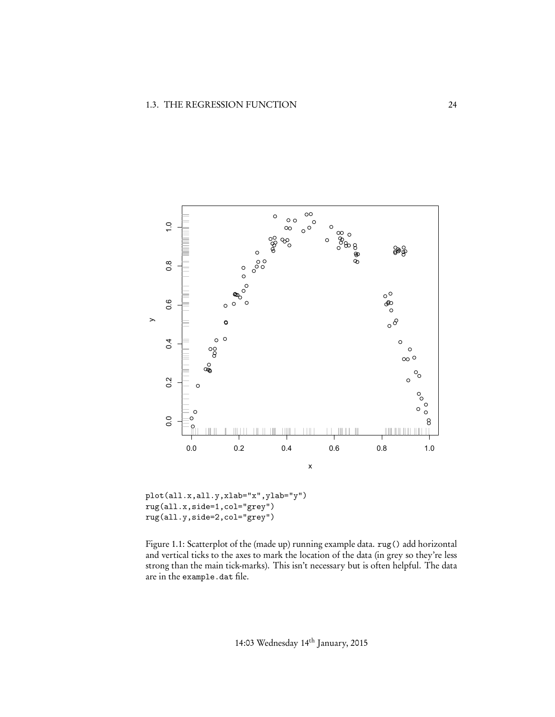

plot(all.x,all.y,xlab="x",ylab="y") rug(all.x,side=1,col="grey") rug(all.y,side=2,col="grey")

Figure 1.1: Scatterplot of the (made up) running example data. rug() add horizontal and vertical ticks to the axes to mark the location of the data (in grey so they're less strong than the main tick-marks). This isn't necessary but is often helpful. The data are in the example.dat file.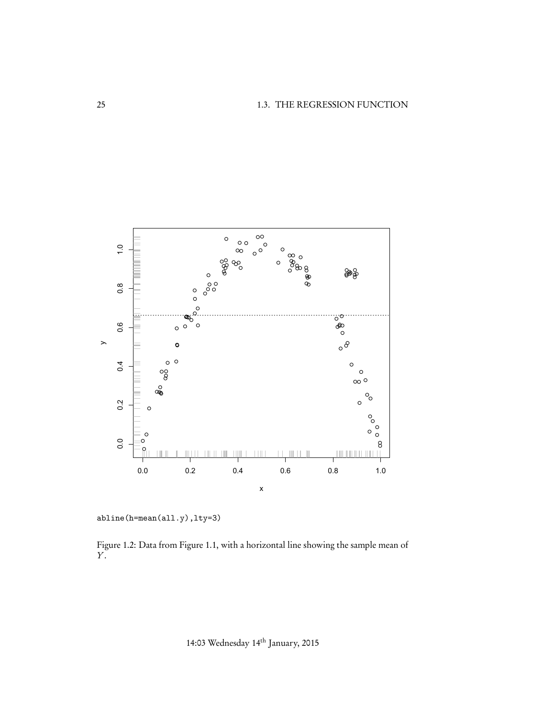

abline(h=mean(all.y),lty=3)

Figure 1.2: Data from Figure 1.1, with a horizontal line showing the sample mean of *Y*.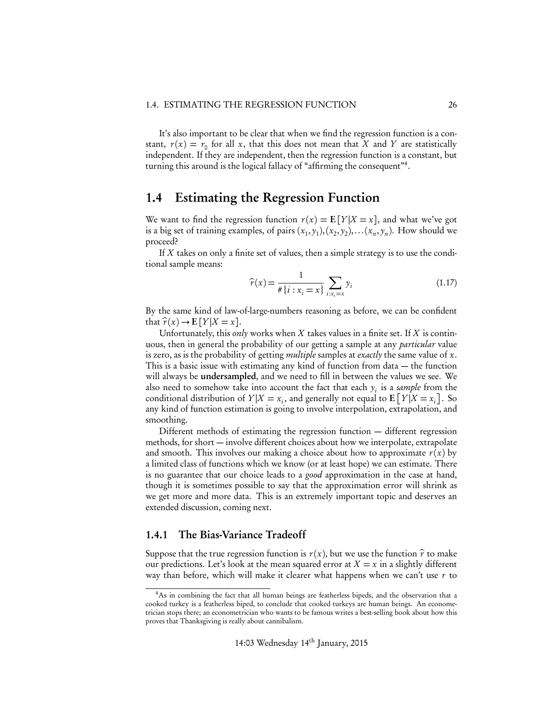It's also important to be clear that when we find the regression function is a constant,  $r(x) = r_0$  for all *x*, that this does not mean that *X* and *Y* are statistically independent. If they are independent, then the regression function is a constant, but turning this around is the logical fallacy of "affirming the consequent"<sup>4</sup>.

### 1.4 Estimating the Regression Function

We want to find the regression function  $r(x) = E[Y|X=x]$ , and what we've got is a big set of training examples, of pairs  $(x_1, y_1), (x_2, y_2), \ldots, (x_n, y_n)$ . How should we proceed?

If *X* takes on only a finite set of values, then a simple strategy is to use the conditional sample means:

$$
\widehat{r}(x) = \frac{1}{\#\{i : x_i = x\}} \sum_{i: x_i = x} y_i \tag{1.17}
$$

By the same kind of law-of-large-numbers reasoning as before, we can be confident that  $\widehat{r}(x) \rightarrow E[Y|X=x]$ .

Unfortunately, this *only* works when *X* takes values in a finite set. If *X* is continuous, then in general the probability of our getting a sample at any *particular* value is zero, as is the probability of getting *multiple* samples at *exactly* the same value of *x*. This is a basic issue with estimating any kind of function from data — the function will always be undersampled, and we need to fill in between the values we see. We also need to somehow take into account the fact that each *yi* is a *sample* from the conditional distribution of  $Y|X = x_i$ , and generally not equal to  $E[Y|X = x_i]$ . So any kind of function estimation is going to involve interpolation, extrapolation, and smoothing.

Different methods of estimating the regression function — different regression methods, for short — involve different choices about how we interpolate, extrapolate and smooth. This involves our making a choice about how to approximate  $r(x)$  by a limited class of functions which we know (or at least hope) we can estimate. There is no guarantee that our choice leads to a *good* approximation in the case at hand, though it is sometimes possible to say that the approximation error will shrink as we get more and more data. This is an extremely important topic and deserves an extended discussion, coming next.

#### 1.4.1 The Bias-Variance Tradeoff

Suppose that the true regression function is  $r(x)$ , but we use the function  $\hat{r}$  to make our predictions. Let's look at the mean squared error at  $X = x$  in a slightly different way than before, which will make it clearer what happens when we can't use *r* to

<sup>4</sup>As in combining the fact that all human beings are featherless bipeds, and the observation that a cooked turkey is a featherless biped, to conclude that cooked turkeys are human beings. An econometrician stops there; an econometrician who wants to be famous writes a best-selling book about how this proves that Thanksgiving is really about cannibalism.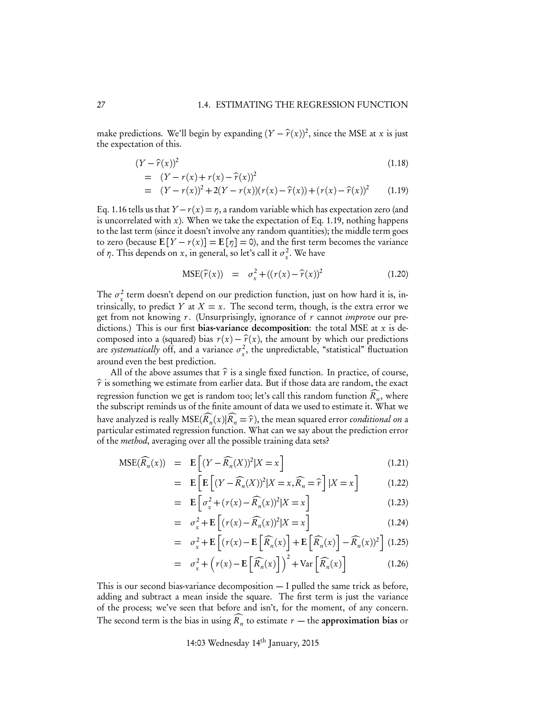make predictions. We'll begin by expanding  $(Y - \hat{r}(x))^2$ , since the MSE at *x* is just the expectation of this.

$$
(Y - \hat{r}(x))^{2}
$$
  
= (Y - r(x) + r(x) - \hat{r}(x))^{2} (1.18)

$$
= (Y - r(x))^{2} + 2(Y - r(x))(r(x) - \hat{r}(x)) + (r(x) - \hat{r}(x))^{2}
$$
 (1.19)

Eq. 1.16 tells us that  $Y - r(x) = \eta$ , a random variable which has expectation zero (and is uncorrelated with *x*). When we take the expectation of Eq. 1.19, nothing happens to the last term (since it doesn't involve any random quantities); the middle term goes to zero (because  $E[Y - r(x)] = E[\eta] = 0$ ), and the first term becomes the variance of  $\eta$ . This depends on *x*, in general, so let's call it  $\sigma_x^2$ . We have

$$
MSE(\widehat{r}(x)) = \sigma_x^2 + ((r(x) - \widehat{r}(x))^2 \tag{1.20}
$$

The  $\sigma_x^2$  term doesn't depend on our prediction function, just on how hard it is, intrinsically, to predict *Y* at  $X = x$ . The second term, though, is the extra error we get from not knowing *r*. (Unsurprisingly, ignorance of *r* cannot *improve* our predictions.) This is our first bias-variance decomposition: the total MSE at *x* is decomposed into a (squared) bias  $r(x) - \hat{r}(x)$ , the amount by which our predictions are *systematically* off, and a variance  $\sigma_x^2$ , the unpredictable, "statistical" fluctuation around even the best prediction.

All of the above assumes that  $\hat{r}$  is a single fixed function. In practice, of course,  $\hat{r}$  is something we estimate from earlier data. But if those data are random, the exact regression function we get is random too; let's call this random function  $R_n$ , where the subscript reminds us of the finite amount of data we used to estimate it. What we have analyzed is really  $\text{MSE}(R_n(x)|R_n = \hat{r})$ , the mean squared error *conditional on* a particular estimated regression function. What can we say about the prediction error of the *method*, averaging over all the possible training data sets?

$$
MSE(\widehat{R_n}(x)) = E\left[ (Y - \widehat{R_n}(X))^2 | X = x \right]
$$
\n(1.21)

$$
= \mathbf{E}\left[\mathbf{E}\left[(Y - \widehat{R_n}(X))^2 | X = x, \widehat{R_n} = \widehat{r}\right] | X = x\right]
$$
(1.22)

$$
= \mathbf{E}\left[\sigma_x^2 + (r(x) - \widehat{R_n}(x))^2 | X = x\right]
$$
\n(1.23)

$$
= \sigma_x^2 + \mathbf{E}\left[ (r(x) - \widehat{R_n}(x))^2 | X = x \right] \tag{1.24}
$$

$$
= \sigma_x^2 + \mathbf{E}\left[ (r(x) - \mathbf{E}\left[ \widehat{R_n}(x) \right] + \mathbf{E}\left[ \widehat{R_n}(x) \right] - \widehat{R_n}(x))^2 \right] (1.25)
$$

$$
= \sigma_x^2 + \left(r(x) - \mathbf{E}\left[\widehat{R}_n(x)\right]\right)^2 + \text{Var}\left[\widehat{R}_n(x)\right] \tag{1.26}
$$

This is our second bias-variance decomposition — I pulled the same trick as before, adding and subtract a mean inside the square. The first term is just the variance of the process; we've seen that before and isn't, for the moment, of any concern. The second term is the bias in using  $R_n$  to estimate  $r$  — the approximation bias or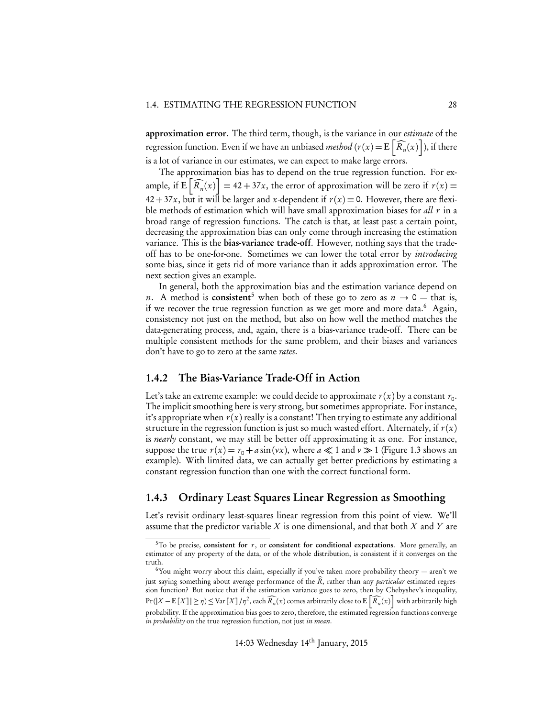approximation error. The third term, though, is the variance in our *estimate* of the regression function. Even if we have an unbiased method  $(r(x) = E\left[\widehat{R}_n(x)\right])$ , if there is a lot of variance in our estimates, we can expect to make large errors.

The approximation bias has to depend on the true regression function. For example, if  $\mathbb{E} \left[ \widehat{R}_n(x) \right] = 42 + 37x$ , the error of approximation will be zero if  $r(x) =$  $42 + 37x$ , but it will be larger and *x*-dependent if  $r(x) = 0$ . However, there are flexible methods of estimation which will have small approximation biases for *all r* in a broad range of regression functions. The catch is that, at least past a certain point, decreasing the approximation bias can only come through increasing the estimation variance. This is the bias-variance trade-off. However, nothing says that the tradeoff has to be one-for-one. Sometimes we can lower the total error by *introducing* some bias, since it gets rid of more variance than it adds approximation error. The next section gives an example.

In general, both the approximation bias and the estimation variance depend on *n*. A method is **consistent**<sup>5</sup> when both of these go to zero as  $n \rightarrow 0$  — that is, if we recover the true regression function as we get more and more data.<sup>6</sup> Again, consistency not just on the method, but also on how well the method matches the data-generating process, and, again, there is a bias-variance trade-off. There can be multiple consistent methods for the same problem, and their biases and variances don't have to go to zero at the same *rates*.

#### 1.4.2 The Bias-Variance Trade-Off in Action

Let's take an extreme example: we could decide to approximate  $r(x)$  by a constant  $r_0$ . The implicit smoothing here is very strong, but sometimes appropriate. For instance, it's appropriate when  $r(x)$  really is a constant! Then trying to estimate any additional structure in the regression function is just so much wasted effort. Alternately, if  $r(x)$ is *nearly* constant, we may still be better off approximating it as one. For instance, suppose the true  $r(x) = r_0 + a \sin(vx)$ , where  $a \ll 1$  and  $v \gg 1$  (Figure 1.3 shows an example). With limited data, we can actually get better predictions by estimating a constant regression function than one with the correct functional form.

#### 1.4.3 Ordinary Least Squares Linear Regression as Smoothing

Let's revisit ordinary least-squares linear regression from this point of view. We'll assume that the predictor variable *X* is one dimensional, and that both *X* and *Y* are

 $5T$ o be precise, consistent for  $r$ , or consistent for conditional expectations. More generally, and estimator of any property of the data, or of the whole distribution, is consistent if it converges on the truth.

 $6$ You might worry about this claim, especially if you've taken more probability theory  $-$  aren't we just saying something about average performance of the  $\widehat{R}$ , rather than any *particular* estimated regression function? But notice that if the estimation variance goes to zero, then by Chebyshev's inequality,  $Pr(|X - \mathbf{E}[X]| \ge \eta) \le \text{Var}[X]/\eta^2$ , each  $\widehat{R_n}(x)$  comes arbitrarily close to  $\mathbf{E}\left[\widehat{R_n}(x)\right]$  with arbitrarily high probability. If the approximation bias goes to zero, therefore, the estimated regression functions converge *in probability* on the true regression function, not just *in mean*.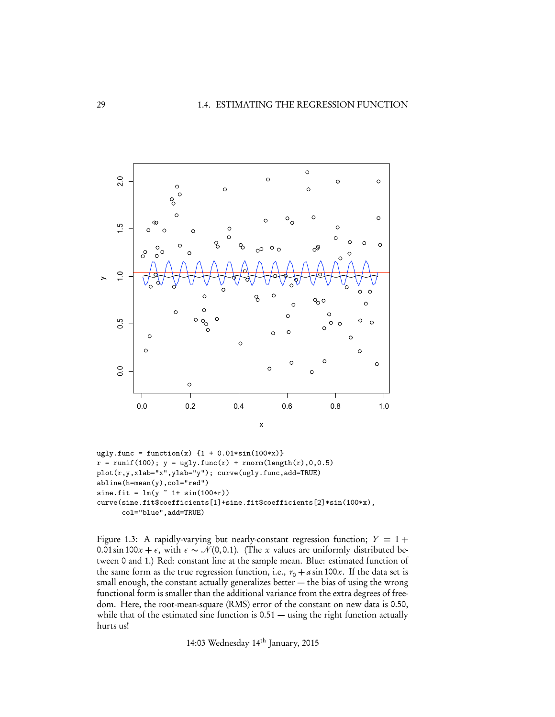

```
ugly.func = function(x) \{1 + 0.01 * \sin(100 * x)\}r = runif(100); y = ugly.func(r) + rnorm(length(r), 0, 0.5)plot(r,y,xlab="x",ylab="y"); curve(ugly.func,add=TRUE)
abline(h=mean(y),col="red")
sine.fit = lm(y ~ ~ 1+ sin(100*r))curve(sine.fit$coefficients[1]+sine.fit$coefficients[2]*sin(100*x),
      col="blue",add=TRUE)
```
Figure 1.3: A rapidly-varying but nearly-constant regression function;  $Y = 1 +$ 0.01 sin 100 $x + \epsilon$ , with  $\epsilon \sim \mathcal{N}(0, 0.1)$ . (The *x* values are uniformly distributed between 0 and 1.) Red: constant line at the sample mean. Blue: estimated function of the same form as the true regression function, i.e.,  $r_0 + a \sin 100x$ . If the data set is small enough, the constant actually generalizes better — the bias of using the wrong functional form is smaller than the additional variance from the extra degrees of freedom. Here, the root-mean-square (RMS) error of the constant on new data is 0.50, while that of the estimated sine function is  $0.51$  — using the right function actually hurts us!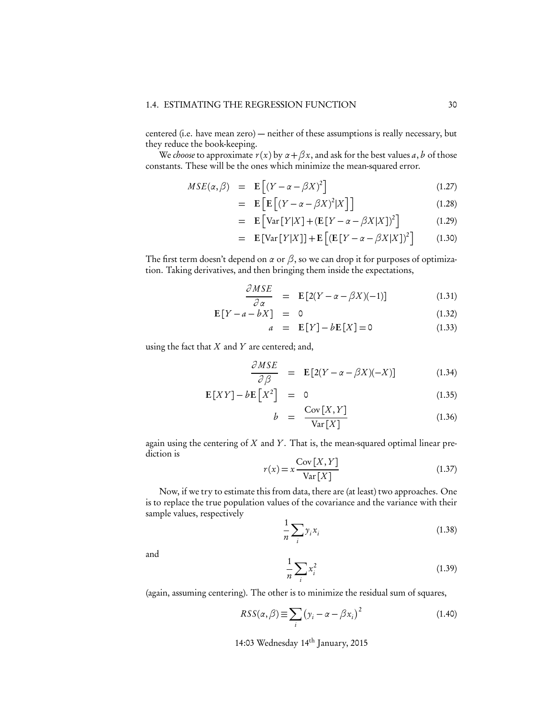centered (i.e. have mean zero) — neither of these assumptions is really necessary, but they reduce the book-keeping.

We *choose* to approximate  $r(x)$  by  $\alpha + \beta x$ , and ask for the best values  $a, b$  of those constants. These will be the ones which minimize the mean-squared error.

$$
MSE(\alpha, \beta) = \mathbf{E}\left[ (Y - \alpha - \beta X)^2 \right] \tag{1.27}
$$

$$
= \mathbf{E}\left[\mathbf{E}\left[ (Y - \alpha - \beta X)^2 | X \right]\right] \tag{1.28}
$$

$$
= \mathbf{E}\left[\text{Var}\left[Y|X\right] + \left(\mathbf{E}\left[Y - \alpha - \beta X|X\right]\right)^{2}\right] \tag{1.29}
$$

$$
= \mathbf{E}\left[\text{Var}\left[Y|X\right]\right] + \mathbf{E}\left[\left(\mathbf{E}\left[Y-\alpha-\beta X|X\right]\right)^{2}\right] \tag{1.30}
$$

The first term doesn't depend on  $\alpha$  or  $\beta$ , so we can drop it for purposes of optimization. Taking derivatives, and then bringing them inside the expectations,

$$
\frac{\partial MSE}{\partial \alpha} = \mathbb{E}[2(Y - \alpha - \beta X)(-1)] \tag{1.31}
$$

$$
\mathbf{E}\left[Y - a - bX\right] = 0 \tag{1.32}
$$

$$
a = \mathbb{E}[Y] - b\mathbb{E}[X] = 0 \tag{1.33}
$$

using the fact that *X* and *Y* are centered; and,

$$
\frac{\partial MSE}{\partial \beta} = \mathbf{E}[2(Y - \alpha - \beta X)(-X)] \quad (1.34)
$$

$$
\mathbf{E}[XY] - b\mathbf{E}[X^2] = 0 \tag{1.35}
$$

$$
b = \frac{\text{Cov}[X, Y]}{\text{Var}[X]}
$$
 (1.36)

again using the centering of *X* and *Y*. That is, the mean-squared optimal linear prediction is

$$
r(x) = x \frac{\text{Cov}[X, Y]}{\text{Var}[X]}
$$
\n(1.37)

Now, if we try to estimate this from data, there are (at least) two approaches. One is to replace the true population values of the covariance and the variance with their sample values, respectively

$$
\frac{1}{n} \sum_{i} y_i x_i \tag{1.38}
$$

and

$$
\frac{1}{n}\sum_{i}x_{i}^{2}\tag{1.39}
$$

(again, assuming centering). The other is to minimize the residual sum of squares,

$$
RSS(\alpha, \beta) \equiv \sum_{i} (y_i - \alpha - \beta x_i)^2
$$
 (1.40)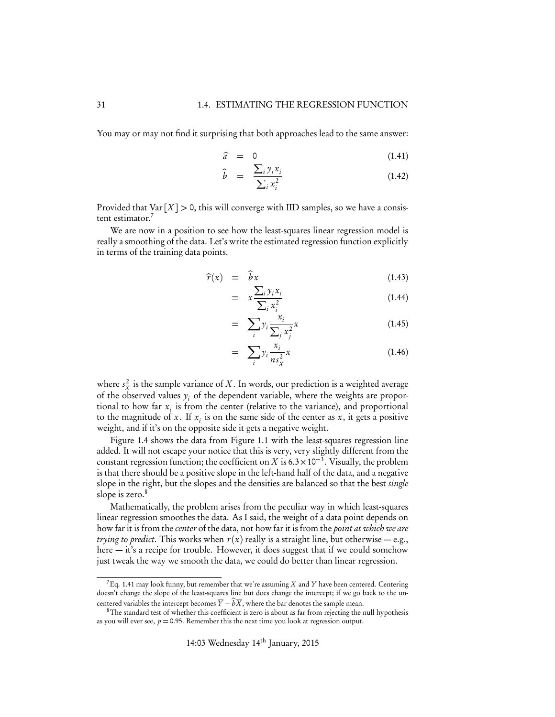You may or may not find it surprising that both approaches lead to the same answer:

$$
\widehat{a} = 0 \tag{1.41}
$$

$$
\widehat{b} = \frac{\sum_{i} y_i x_i}{\sum_{i} x_i^2} \tag{1.42}
$$

Provided that  $Var[X] > 0$ , this will converge with IID samples, so we have a consistent estimator.<sup>7</sup>

We are now in a position to see how the least-squares linear regression model is really a smoothing of the data. Let's write the estimated regression function explicitly in terms of the training data points.

$$
\widehat{r}(x) = \widehat{b}x \tag{1.43}
$$

$$
= x \frac{\sum_{i} y_{i} x_{i}}{\sum_{i} x_{i}^{2}}
$$
 (1.44)

$$
= \sum_{i} y_i \frac{x_i}{\sum_j x_j^2} x \tag{1.45}
$$

$$
= \sum_{i} y_i \frac{x_i}{n s_X^2} x \tag{1.46}
$$

where  $s_X^2$  is the sample variance of *X*. In words, our prediction is a weighted average of the observed values *yi* of the dependent variable, where the weights are proportional to how far  $x_i$  is from the center (relative to the variance), and proportional to the magnitude of *x*. If  $x_i$  is on the same side of the center as  $x$ , it gets a positive weight, and if it's on the opposite side it gets a negative weight.

Figure 1.4 shows the data from Figure 1.1 with the least-squares regression line added. It will not escape your notice that this is very, very slightly different from the constant regression function; the coefficient on *X* is  $6.3 \times 10^{-3}$ . Visually, the problem is that there should be a positive slope in the left-hand half of the data, and a negative slope in the right, but the slopes and the densities are balanced so that the best *single* slope is zero.<sup>8</sup>

Mathematically, the problem arises from the peculiar way in which least-squares linear regression smoothes the data. As I said, the weight of a data point depends on how far it is from the *center* of the data, not how far it is from the *point at which we are trying to predict*. This works when  $r(x)$  really is a straight line, but otherwise – e.g., here — it's a recipe for trouble. However, it does suggest that if we could somehow just tweak the way we smooth the data, we could do better than linear regression.

 $^7$ Eq. 1.41 may look funny, but remember that we're assuming  $X$  and  $Y$  have been centered. Centering doesn't change the slope of the least-squares line but does change the intercept; if we go back to the un-

centered variables the intercept becomes  $\overline{Y} - \overline{b} \overline{X}$ , where the bar denotes the sample mean. <sup>8</sup>The standard test of whether this coefficient is zero is about as far from rejecting the null hypothesis as you will ever see,  $p = 0.95$ . Remember this the next time you look at regression output.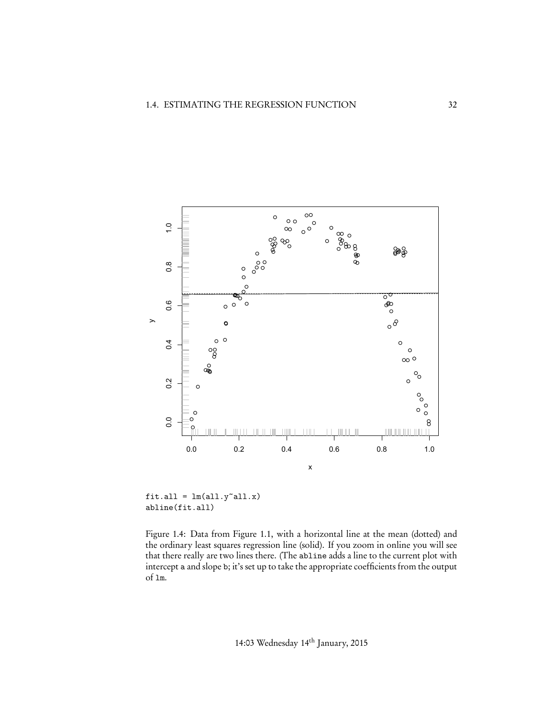

 $fit.al1 = lm(al1.y^{\sim}all.x)$ abline(fit.all)

Figure 1.4: Data from Figure 1.1, with a horizontal line at the mean (dotted) and the ordinary least squares regression line (solid). If you zoom in online you will see that there really are two lines there. (The abline adds a line to the current plot with intercept a and slope b; it's set up to take the appropriate coefficients from the output of lm.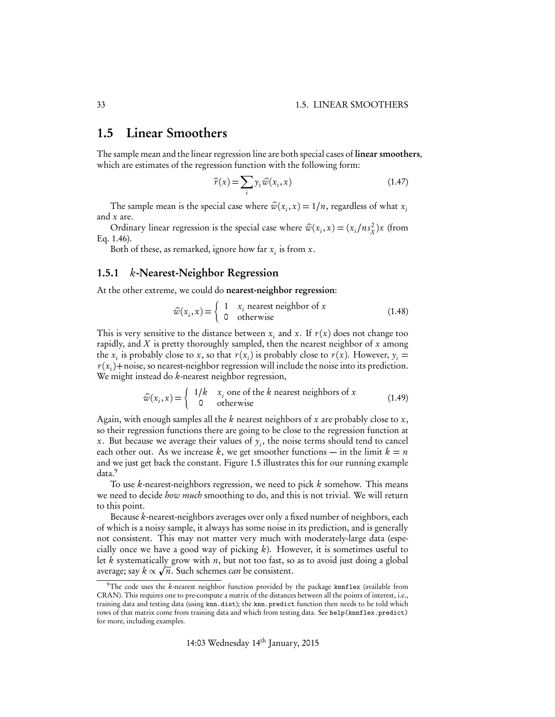## 1.5 Linear Smoothers

The sample mean and the linear regression line are both special cases of linear smoothers, which are estimates of the regression function with the following form:

$$
\widehat{r}(x) = \sum_{i} y_i \widehat{w}(x_i, x) \tag{1.47}
$$

The sample mean is the special case where  $\hat{w}(x_i, x) = 1/n$ , regardless of what  $x_i$ and *x* are.

Ordinary linear regression is the special case where  $\hat{w}(x_i, x) = (x_i/ns_X^2)x$  (from Eq. 1.46).

Both of these, as remarked, ignore how far *xi* is from *x*.

#### 1.5.1 *k*-Nearest-Neighbor Regression

At the other extreme, we could do nearest-neighbor regression:

$$
\widehat{w}(x_i, x) = \begin{cases} 1 & x_i \text{ nearest neighbor of } x \\ 0 & \text{otherwise} \end{cases}
$$
 (1.48)

This is very sensitive to the distance between  $x_i$  and  $x$ . If  $r(x)$  does not change too rapidly, and *X* is pretty thoroughly sampled, then the nearest neighbor of *x* among the *x<sub>i</sub>* is probably close to *x*, so that  $r(x_i)$  is probably close to  $r(x)$ . However,  $y_i =$  $r(x<sub>i</sub>)$ +noise, so nearest-neighbor regression will include the noise into its prediction. We might instead do *k*-nearest neighbor regression,

$$
\widehat{w}(x_i, x) = \begin{cases} 1/k & x_i \text{ one of the } k \text{ nearest neighbors of } x \\ 0 & \text{otherwise} \end{cases}
$$
 (1.49)

Again, with enough samples all the *k* nearest neighbors of *x* are probably close to *x*, so their regression functions there are going to be close to the regression function at *x*. But because we average their values of  $y_i$ , the noise terms should tend to cancel each other out. As we increase  $k$ , we get smoother functions — in the limit  $k = n$ and we just get back the constant. Figure 1.5 illustrates this for our running example data.<sup>9</sup>

To use *k*-nearest-neighbors regression, we need to pick *k* somehow. This means we need to decide *how much* smoothing to do, and this is not trivial. We will return to this point.

Because *k*-nearest-neighbors averages over only a fixed number of neighbors, each of which is a noisy sample, it always has some noise in its prediction, and is generally not consistent. This may not matter very much with moderately-large data (especially once we have a good way of picking *k*). However, it is sometimes useful to let *k* systematically grow with *n*, but not too fast, so as to avoid just doing a global average; say  $k \propto \sqrt{n}$ . Such schemes *can* be consistent.

<sup>9</sup>The code uses the *k*-nearest neighbor function provided by the package knnflex (available from CRAN). This requires one to pre-compute a matrix of the distances between all the points of interest, i.e., training data and testing data (using knn.dist); the knn.predict function then needs to be told which rows of that matrix come from training data and which from testing data. See help(knnflex.predict) for more, including examples.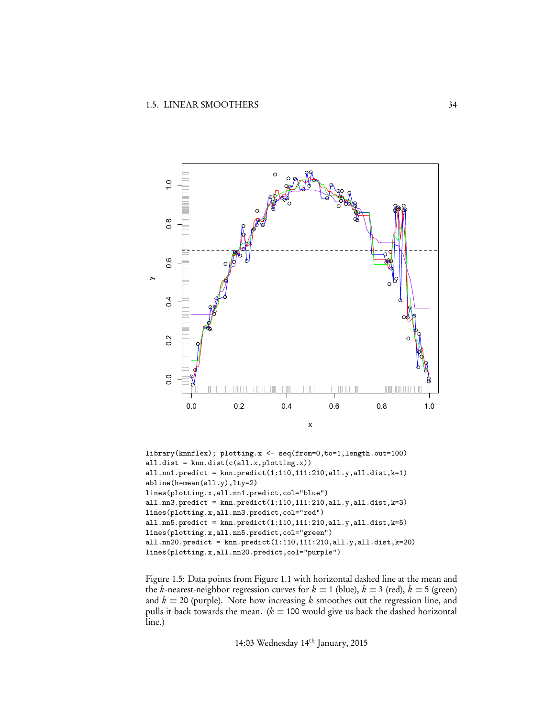

```
library(knnflex); plotting.x <- seq(from=0,to=1,length.out=100)
all.dist = knn.dist(c(all.x,plotting.x))
all.nn1.predict = km.predict(1:110,111:210,all.y,all.dist,k=1)abline(h=mean(all.y),lty=2)
lines(plotting.x,all.nn1.predict,col="blue")
all.nn3.predict = kmn.predict(1:110,111:210,all.y,all.dist,k=3)lines(plotting.x,all.nn3.predict,col="red")
all.nn5.predict = km.predict(1:110,111:210,all.y,all.dist,k=5)
lines(plotting.x,all.nn5.predict,col="green")
all.nn20.predict = km.predict(1:110,111:210,all.y,all.dist,k=20)lines(plotting.x,all.nn20.predict,col="purple")
```
Figure 1.5: Data points from Figure 1.1 with horizontal dashed line at the mean and the *k*-nearest-neighbor regression curves for  $k = 1$  (blue),  $k = 3$  (red),  $k = 5$  (green) and  $k = 20$  (purple). Note how increasing  $k$  smoothes out the regression line, and pulls it back towards the mean.  $(k = 100$  would give us back the dashed horizontal line.)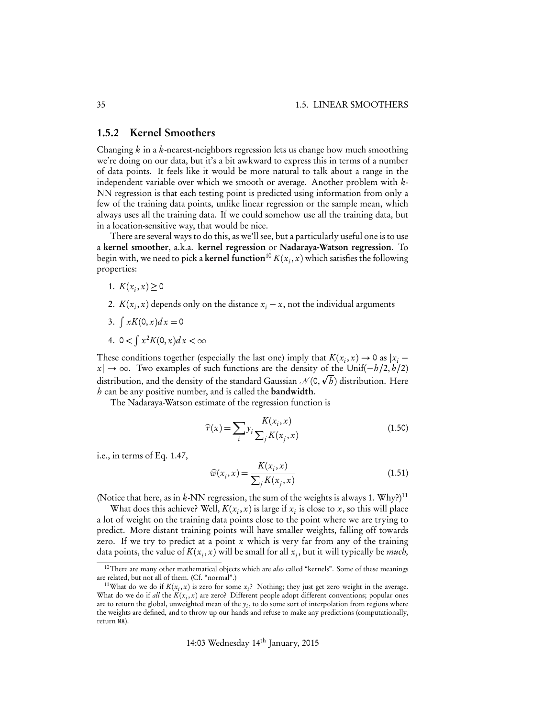#### 1.5.2 Kernel Smoothers

Changing *k* in a *k*-nearest-neighbors regression lets us change how much smoothing we're doing on our data, but it's a bit awkward to express this in terms of a number of data points. It feels like it would be more natural to talk about a range in the independent variable over which we smooth or average. Another problem with *k*-NN regression is that each testing point is predicted using information from only a few of the training data points, unlike linear regression or the sample mean, which always uses all the training data. If we could somehow use all the training data, but in a location-sensitive way, that would be nice.

There are several ways to do this, as we'll see, but a particularly useful one is to use a kernel smoother, a.k.a. kernel regression or Nadaraya-Watson regression. To begin with, we need to pick a **kernel function**<sup>10</sup>  $K(x_i, x)$  which satisfies the following properties:

- 1.  $K(x_i, x) \ge 0$
- 2.  $K(x_i, x)$  depends only on the distance  $x_i x$ , not the individual arguments
- 3.  $\int xK(0, x)dx = 0$
- 4.  $0 < \int x^2 K(0, x) dx < \infty$

These conditions together (especially the last one) imply that  $K(x_i, x) \rightarrow 0$  as  $|x_i$  $x$   $\rightarrow \infty$ . Two examples of such functions are the density of the Unif( $-h/2, h/2$ ) distribution, and the density of the standard Gaussian  $\mathcal{N}(0, \sqrt{h})$  distribution. Here *h* can be any positive number, and is called the bandwidth.

The Nadaraya-Watson estimate of the regression function is

$$
\widehat{r}(x) = \sum_{i} y_i \frac{K(x_i, x)}{\sum_{j} K(x_j, x)}
$$
\n(1.50)

i.e., in terms of Eq. 1.47,

$$
\widehat{w}(x_i, x) = \frac{K(x_i, x)}{\sum_j K(x_j, x)}
$$
\n(1.51)

(Notice that here, as in *k*-NN regression, the sum of the weights is always 1. Why?)<sup>11</sup>

What does this achieve? Well,  $K(x_i, x)$  is large if  $x_i$  is close to x, so this will place a lot of weight on the training data points close to the point where we are trying to predict. More distant training points will have smaller weights, falling off towards zero. If we try to predict at a point *x* which is very far from any of the training data points, the value of  $K(x_i, x)$  will be small for all  $x_i$ , but it will typically be *much*,

<sup>10</sup>There are many other mathematical objects which are *also* called "kernels". Some of these meanings are related, but not all of them. (Cf. "normal".)

<sup>&</sup>lt;sup>11</sup>What do we do if  $K(x_i, x)$  is zero for some  $x_i$ ? Nothing; they just get zero weight in the average. What do we do if *all* the  $K(x_i, x)$  are zero? Different people adopt different conventions; popular ones are to return the global, unweighted mean of the  $y_i$ , to do some sort of interpolation from regions where the weights are defined, and to throw up our hands and refuse to make any predictions (computationally, return NA).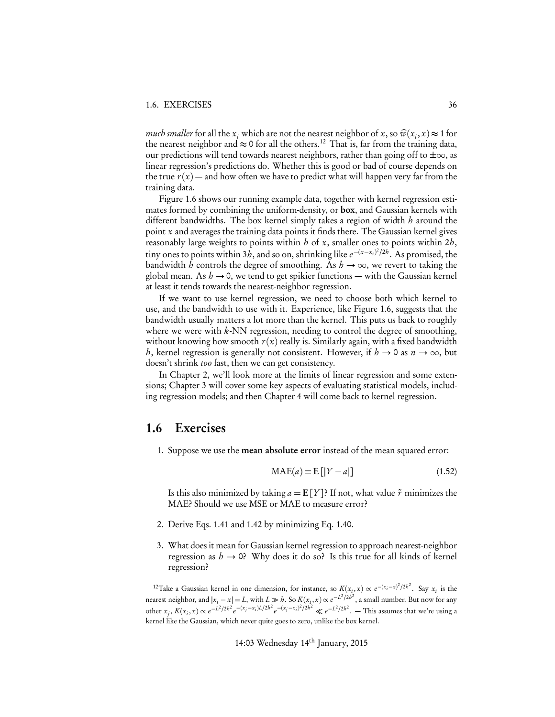*much smaller* for all the  $x_i$  which are not the nearest neighbor of *x*, so  $\hat{w}(x_i, x) \approx 1$  for the nearest neighbor and  $\approx$  0 for all the others.<sup>12</sup> That is, far from the training data, our predictions will tend towards nearest neighbors, rather than going off to  $\pm\infty$ , as linear regression's predictions do. Whether this is good or bad of course depends on the true  $r(x)$  — and how often we have to predict what will happen very far from the training data.

Figure 1.6 shows our running example data, together with kernel regression estimates formed by combining the uniform-density, or **box**, and Gaussian kernels with different bandwidths. The box kernel simply takes a region of width *h* around the point *x* and averages the training data points it finds there. The Gaussian kernel gives reasonably large weights to points within *h* of *x*, smaller ones to points within 2*h*, tiny ones to points within 3*h*, and so on, shrinking like  $e^{-(x-x_i)^2/2h}$ . As promised, the bandwidth *h* controls the degree of smoothing. As  $h \rightarrow \infty$ , we revert to taking the global mean. As  $h \to 0$ , we tend to get spikier functions — with the Gaussian kernel at least it tends towards the nearest-neighbor regression.

If we want to use kernel regression, we need to choose both which kernel to use, and the bandwidth to use with it. Experience, like Figure 1.6, suggests that the bandwidth usually matters a lot more than the kernel. This puts us back to roughly where we were with *k*-NN regression, needing to control the degree of smoothing, without knowing how smooth *r*(*x*) really is. Similarly again, with a fixed bandwidth *h*, kernel regression is generally not consistent. However, if  $h \to 0$  as  $n \to \infty$ , but doesn't shrink *too* fast, then we can get consistency.

In Chapter 2, we'll look more at the limits of linear regression and some extensions; Chapter 3 will cover some key aspects of evaluating statistical models, including regression models; and then Chapter 4 will come back to kernel regression.

#### 1.6 Exercises

1. Suppose we use the mean absolute error instead of the mean squared error:

$$
MAE(a) = E[|Y - a|]
$$
\n(1.52)

Is this also minimized by taking  $a = E[Y]$ ? If not, what value  $\tilde{r}$  minimizes the MAE? Should we use MSE or MAE to measure error?

- 2. Derive Eqs. 1.41 and 1.42 by minimizing Eq. 1.40.
- 3. What does it mean for Gaussian kernel regression to approach nearest-neighbor regression as  $h \to 0$ ? Why does it do so? Is this true for all kinds of kernel regression?

<sup>&</sup>lt;sup>12</sup>Take a Gaussian kernel in one dimension, for instance, so  $K(x_i, x) \propto e^{-(x_i - x)^2/2b^2}$ . Say  $x_i$  is the nearest neighbor, and  $|x_i - x| = L$ , with  $L \gg h$ . So  $K(x_i, x) \propto e^{-L^2/2h^2}$ , a small number. But now for any other  $x_j$ ,  $K(x_i, x) \propto e^{-L^2/2b^2} e^{-(x_j - x_i)L/2b^2} e^{-(x_j - x_i)^2/2b^2} \ll e^{-L^2/2b^2}$ . — This assumes that we're using a kernel like the Gaussian, which never quite goes to zero, unlike the box kernel.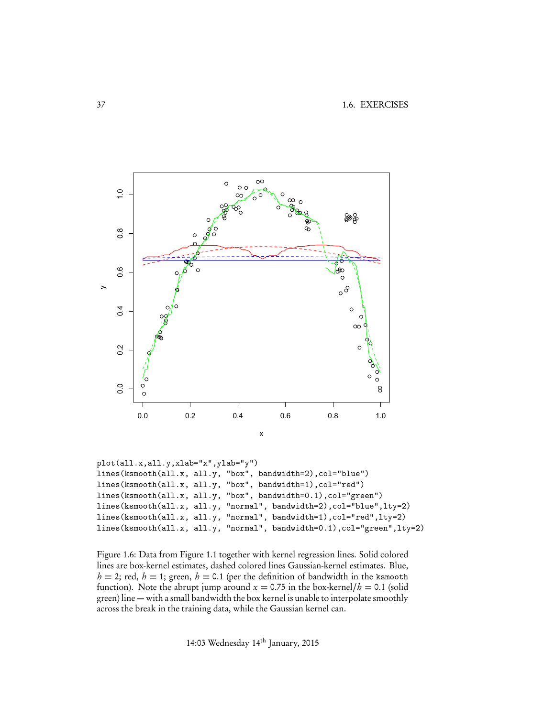

```
plot(all.x,all.y,xlab="x",ylab="y")
lines(ksmooth(all.x, all.y, "box", bandwidth=2),col="blue")
lines(ksmooth(all.x, all.y, "box", bandwidth=1),col="red")
lines(ksmooth(all.x, all.y, "box", bandwidth=0.1),col="green")
lines(ksmooth(all.x, all.y, "normal", bandwidth=2),col="blue",lty=2)
lines(ksmooth(all.x, all.y, "normal", bandwidth=1),col="red",lty=2)
lines(ksmooth(all.x, all.y, "normal", bandwidth=0.1),col="green",lty=2)
```
Figure 1.6: Data from Figure 1.1 together with kernel regression lines. Solid colored lines are box-kernel estimates, dashed colored lines Gaussian-kernel estimates. Blue,  $h = 2$ ; red,  $h = 1$ ; green,  $h = 0.1$  (per the definition of bandwidth in the ksmooth function). Note the abrupt jump around  $x = 0.75$  in the box-kernel/ $h = 0.1$  (solid green) line — with a small bandwidth the box kernel is unable to interpolate smoothly across the break in the training data, while the Gaussian kernel can.